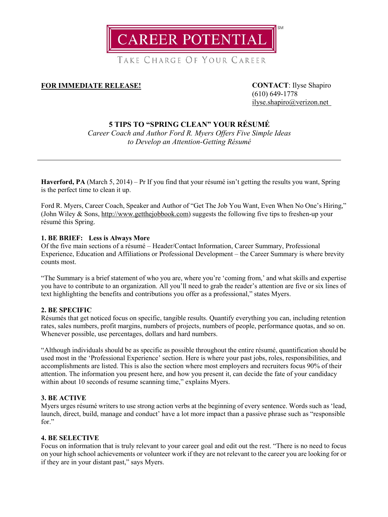

TAKE CHARGE OF YOUR CAREER

## **FOR IMMEDIATE RELEASE! CONTACT**: Ilyse Shapiro

(610) 649-1778 [ilyse.shapiro@verizon.net](mailto:ilyse.shapiro@verizon.net)

# **5 TIPS TO "SPRING CLEAN" YOUR RÉSUMÉ**

*Career Coach and Author Ford R. Myers Offers Five Simple Ideas to Develop an Attention-Getting Résumé*

**Haverford, PA** (March 5, 2014) – Pr If you find that your résumé isn't getting the results you want, Spring is the perfect time to clean it up.

Ford R. Myers, Career Coach, Speaker and Author of "Get The Job You Want, Even When No One's Hiring," (John Wiley & Sons, [http://www.getthejobbook.com\)](http://www.getthejobbook.com/) suggests the following five tips to freshen-up your résumé this Spring.

### **1. BE BRIEF: Less is Always More**

Of the five main sections of a résumé – Header/Contact Information, Career Summary, Professional Experience, Education and Affiliations or Professional Development – the Career Summary is where brevity counts most.

"The Summary is a brief statement of who you are, where you're 'coming from,' and what skills and expertise you have to contribute to an organization. All you'll need to grab the reader's attention are five or six lines of text highlighting the benefits and contributions you offer as a professional," states Myers.

### **2. BE SPECIFIC**

Résumés that get noticed focus on specific, tangible results. Quantify everything you can, including retention rates, sales numbers, profit margins, numbers of projects, numbers of people, performance quotas, and so on. Whenever possible, use percentages, dollars and hard numbers.

"Although individuals should be as specific as possible throughout the entire résumé, quantification should be used most in the 'Professional Experience' section. Here is where your past jobs, roles, responsibilities, and accomplishments are listed. This is also the section where most employers and recruiters focus 90% of their attention. The information you present here, and how you present it, can decide the fate of your candidacy within about 10 seconds of resume scanning time," explains Myers.

### **3. BE ACTIVE**

Myers urges résumé writers to use strong action verbs at the beginning of every sentence. Words such as 'lead, launch, direct, build, manage and conduct' have a lot more impact than a passive phrase such as "responsible for."

### **4. BE SELECTIVE**

Focus on information that is truly relevant to your career goal and edit out the rest. "There is no need to focus on your high school achievements or volunteer work if they are not relevant to the career you are looking for or if they are in your distant past," says Myers.